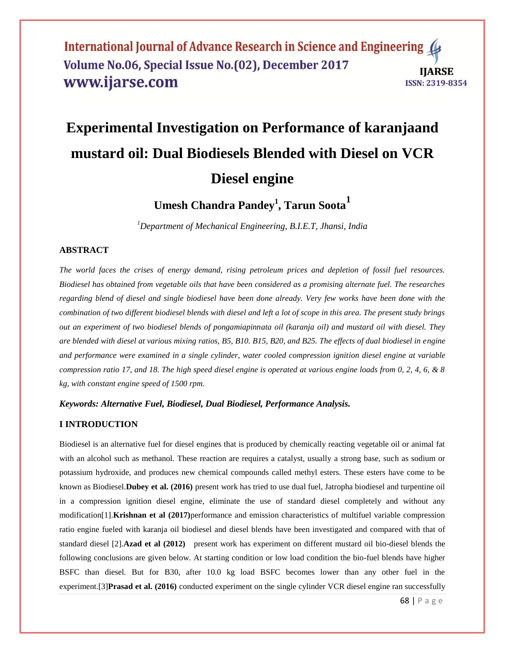# **Experimental Investigation on Performance of karanjaand mustard oil: Dual Biodiesels Blended with Diesel on VCR Diesel engine**

**Umesh Chandra Pandey<sup>1</sup> , Tarun Soota<sup>1</sup>**

*<sup>1</sup>Department of Mechanical Engineering, B.I.E.T, Jhansi, India*

# **ABSTRACT**

*The world faces the crises of energy demand, rising petroleum prices and depletion of fossil fuel resources. Biodiesel has obtained from vegetable oils that have been considered as a promising alternate fuel. The researches regarding blend of diesel and single biodiesel have been done already. Very few works have been done with the combination of two different biodiesel blends with diesel and left a lot of scope in this area. The present study brings out an experiment of two biodiesel blends of pongamiapinnata oil (karanja oil) and mustard oil with diesel. They are blended with diesel at various mixing ratios, B5, B10. B15, B20, and B25. The effects of dual biodiesel in engine and performance were examined in a single cylinder, water cooled compression ignition diesel engine at variable compression ratio 17, and 18. The high speed diesel engine is operated at various engine loads from 0, 2, 4, 6, & 8 kg, with constant engine speed of 1500 rpm.* 

#### *Keywords: Alternative Fuel, Biodiesel, Dual Biodiesel, Performance Analysis.*

## **I INTRODUCTION**

Biodiesel is an alternative fuel for diesel engines that is produced by chemically reacting vegetable oil or animal fat with an alcohol such as methanol. These reaction are requires a catalyst, usually a strong base, such as sodium or potassium hydroxide, and produces new chemical compounds called methyl esters. These esters have come to be known as Biodiesel.**Dubey et al. (2016)** present work has tried to use dual fuel, Jatropha biodiesel and turpentine oil in a compression ignition diesel engine, eliminate the use of standard diesel completely and without any modification[1].**Krishnan et al (2017)**performance and emission characteristics of multifuel variable compression ratio engine fueled with karanja oil biodiesel and diesel blends have been investigated and compared with that of standard diesel [2].**Azad et al (2012)** present work has experiment on different mustard oil bio-diesel blends the following conclusions are given below. At starting condition or low load condition the bio-fuel blends have higher BSFC than diesel. But for B30, after 10.0 kg load BSFC becomes lower than any other fuel in the experiment.[3]**Prasad et al. (2016)** conducted experiment on the single cylinder VCR diesel engine ran successfully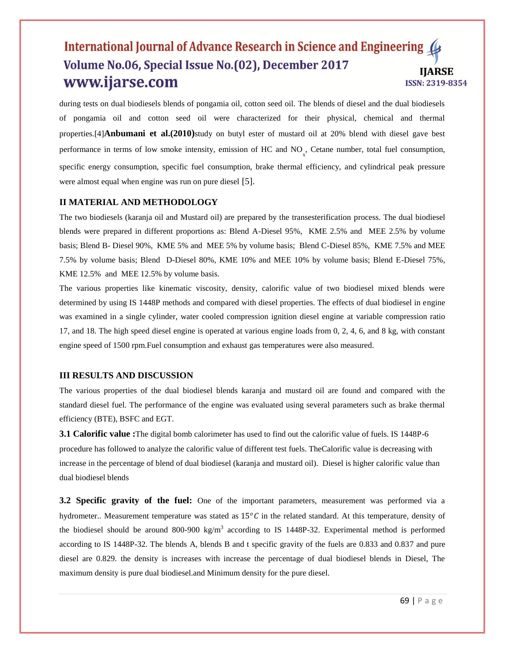during tests on dual biodiesels blends of pongamia oil, cotton seed oil. The blends of diesel and the dual biodiesels of pongamia oil and cotton seed oil were characterized for their physical, chemical and thermal properties.[4]**Anbumani et al.(2010)**study on butyl ester of mustard oil at 20% blend with diesel gave best performance in terms of low smoke intensity, emission of HC and  $NO<sub>x</sub>$ , Cetane number, total fuel consumption, specific energy consumption, specific fuel consumption, brake thermal efficiency, and cylindrical peak pressure were almost equal when engine was run on pure diesel [5].

## **II MATERIAL AND METHODOLOGY**

The two biodiesels (karanja oil and Mustard oil) are prepared by the transesterification process. The dual biodiesel blends were prepared in different proportions as: Blend A-Diesel 95%, KME 2.5% and MEE 2.5% by volume basis; Blend B- Diesel 90%, KME 5% and MEE 5% by volume basis; Blend C-Diesel 85%, KME 7.5% and MEE 7.5% by volume basis; Blend D-Diesel 80%, KME 10% and MEE 10% by volume basis; Blend E-Diesel 75%, KME 12.5% and MEE 12.5% by volume basis.

The various properties like kinematic viscosity, density, calorific value of two biodiesel mixed blends were determined by using IS 1448P methods and compared with diesel properties. The effects of dual biodiesel in engine was examined in a single cylinder, water cooled compression ignition diesel engine at variable compression ratio 17, and 18. The high speed diesel engine is operated at various engine loads from 0, 2, 4, 6, and 8 kg, with constant engine speed of 1500 rpm.Fuel consumption and exhaust gas temperatures were also measured.

#### **III RESULTS AND DISCUSSION**

The various properties of the dual biodiesel blends karanja and mustard oil are found and compared with the standard diesel fuel. The performance of the engine was evaluated using several parameters such as brake thermal efficiency (BTE), BSFC and EGT.

**3.1 Calorific value :**The digital bomb calorimeter has used to find out the calorific value of fuels. IS 1448P-6 procedure has followed to analyze the calorific value of different test fuels. TheCalorific value is decreasing with increase in the percentage of blend of dual biodiesel (karanja and mustard oil). Diesel is higher calorific value than dual biodiesel blends

**3.2 Specific gravity of the fuel:** One of the important parameters, measurement was performed via a hydrometer.. Measurement temperature was stated as  $15^{\circ}C$  in the related standard. At this temperature, density of the biodiesel should be around 800-900 kg/m<sup>3</sup> according to IS 1448P-32. Experimental method is performed according to IS 1448P-32. The blends A, blends B and t specific gravity of the fuels are 0.833 and 0.837 and pure diesel are 0.829. the density is increases with increase the percentage of dual biodiesel blends in Diesel, The maximum density is pure dual biodiesel.and Minimum density for the pure diesel.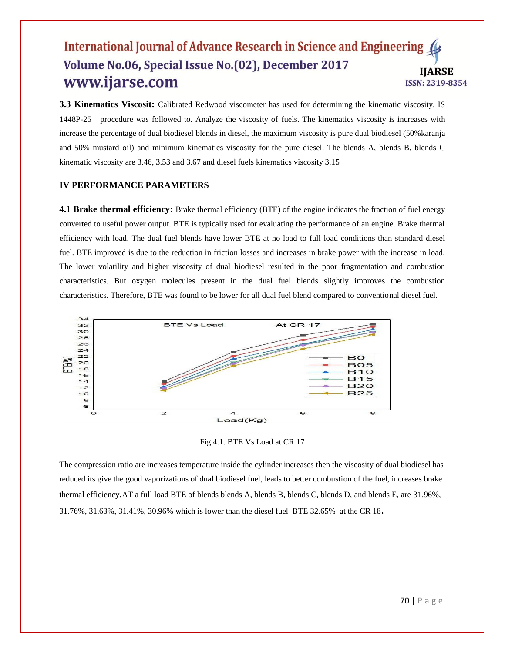**3.3 Kinematics Viscosit:** Calibrated Redwood viscometer has used for determining the kinematic viscosity. IS 1448P-25 procedure was followed to. Analyze the viscosity of fuels. The kinematics viscosity is increases with increase the percentage of dual biodiesel blends in diesel, the maximum viscosity is pure dual biodiesel (50%karanja and 50% mustard oil) and minimum kinematics viscosity for the pure diesel. The blends A, blends B, blends C kinematic viscosity are 3.46, 3.53 and 3.67 and diesel fuels kinematics viscosity 3.15

#### **IV PERFORMANCE PARAMETERS**

**4.1 Brake thermal efficiency:** Brake thermal efficiency (BTE) of the engine indicates the fraction of fuel energy converted to useful power output. BTE is typically used for evaluating the performance of an engine. Brake thermal efficiency with load. The dual fuel blends have lower BTE at no load to full load conditions than standard diesel fuel. BTE improved is due to the reduction in friction losses and increases in brake power with the increase in load. The lower volatility and higher viscosity of dual biodiesel resulted in the poor fragmentation and combustion characteristics. But oxygen molecules present in the dual fuel blends slightly improves the combustion characteristics. Therefore, BTE was found to be lower for all dual fuel blend compared to conventional diesel fuel.



Fig.4.1. BTE Vs Load at CR 17

The compression ratio are increases temperature inside the cylinder increases then the viscosity of dual biodiesel has reduced its give the good vaporizations of dual biodiesel fuel, leads to better combustion of the fuel, increases brake thermal efficiency.AT a full load BTE of blends blends A, blends B, blends C, blends D, and blends E, are 31.96%, 31.76%, 31.63%, 31.41%, 30.96% which is lower than the diesel fuel BTE 32.65% at the CR 18**.**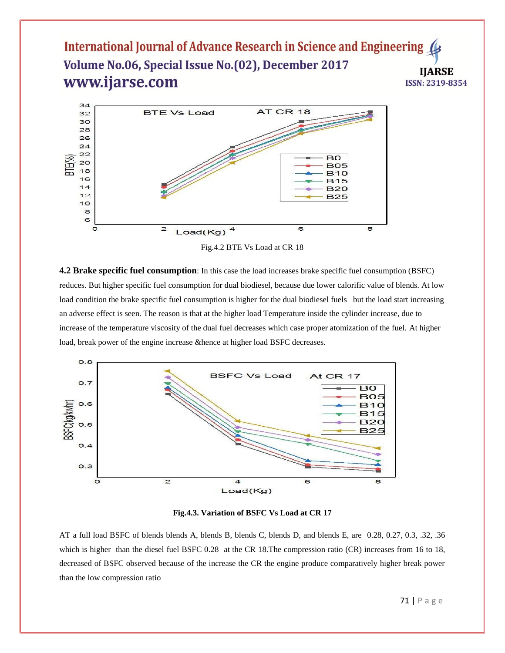

Fig.4.2 BTE Vs Load at CR 18

**4.2 Brake specific fuel consumption**: In this case the load increases brake specific fuel consumption (BSFC) reduces. But higher specific fuel consumption for dual biodiesel, because due lower calorific value of blends. At low load condition the brake specific fuel consumption is higher for the dual biodiesel fuels but the load start increasing an adverse effect is seen. The reason is that at the higher load Temperature inside the cylinder increase, due to increase of the temperature viscosity of the dual fuel decreases which case proper atomization of the fuel. At higher load, break power of the engine increase &hence at higher load BSFC decreases.



**Fig.4.3. Variation of BSFC Vs Load at CR 17**

AT a full load BSFC of blends blends A, blends B, blends C, blends D, and blends E, are 0.28, 0.27, 0.3, .32, .36 which is higher than the diesel fuel BSFC 0.28 at the CR 18. The compression ratio (CR) increases from 16 to 18, decreased of BSFC observed because of the increase the CR the engine produce comparatively higher break power than the low compression ratio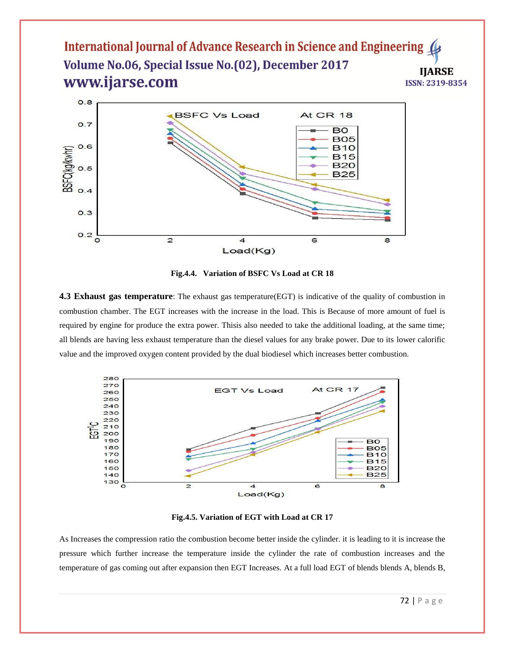

**Fig.4.4. Variation of BSFC Vs Load at CR 18**

**4.3 Exhaust gas temperature**: The exhaust gas temperature(EGT) is indicative of the quality of combustion in combustion chamber. The EGT increases with the increase in the load. This is Because of more amount of fuel is required by engine for produce the extra power. Thisis also needed to take the additional loading, at the same time; all blends are having less exhaust temperature than the diesel values for any brake power. Due to its lower calorific value and the improved oxygen content provided by the dual biodiesel which increases better combustion.



**Fig.4.5. Variation of EGT with Load at CR 17**

As Increases the compression ratio the combustion become better inside the cylinder. it is leading to it is increase the pressure which further increase the temperature inside the cylinder the rate of combustion increases and the temperature of gas coming out after expansion then EGT Increases. At a full load EGT of blends blends A, blends B,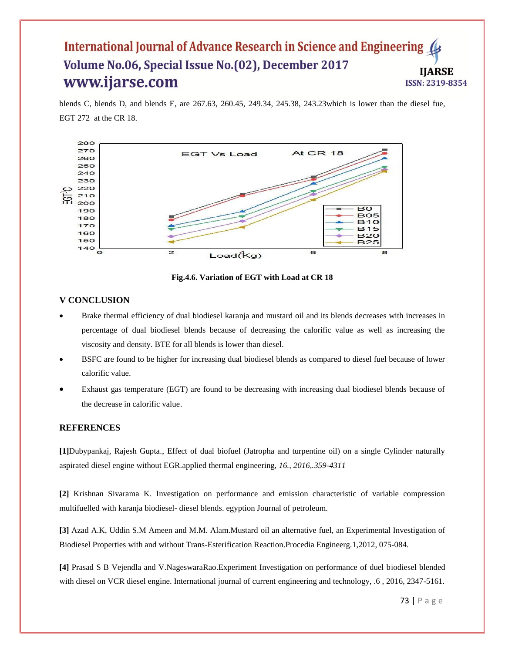blends C, blends D, and blends E, are 267.63, 260.45, 249.34, 245.38, 243.23which is lower than the diesel fue, EGT 272 at the CR 18.



**Fig.4.6. Variation of EGT with Load at CR 18**

## **V CONCLUSION**

- Brake thermal efficiency of dual biodiesel karanja and mustard oil and its blends decreases with increases in percentage of dual biodiesel blends because of decreasing the calorific value as well as increasing the viscosity and density. BTE for all blends is lower than diesel.
- BSFC are found to be higher for increasing dual biodiesel blends as compared to diesel fuel because of lower calorific value.
- Exhaust gas temperature (EGT) are found to be decreasing with increasing dual biodiesel blends because of the decrease in calorific value.

## **REFERENCES**

**[1]**Dubypankaj, Rajesh Gupta., Effect of dual biofuel (Jatropha and turpentine oil) on a single Cylinder naturally aspirated diesel engine without EGR.applied thermal engineering, *16., 2016,.359-4311*

**[2]** Krishnan Sivarama K. Investigation on performance and emission characteristic of variable compression multifuelled with karanja biodiesel- diesel blends. egyption Journal of petroleum.

**[3]** Azad A.K, Uddin S.M Ameen and M.M. Alam.Mustard oil an alternative fuel, an Experimental Investigation of Biodiesel Properties with and without Trans-Esterification Reaction.Procedia Engineerg.1,2012, 075-084.

**[4]** Prasad S B Vejendla and V.NageswaraRao.Experiment Investigation on performance of duel biodiesel blended with diesel on VCR diesel engine. International journal of current engineering and technology, .6, 2016, 2347-5161.